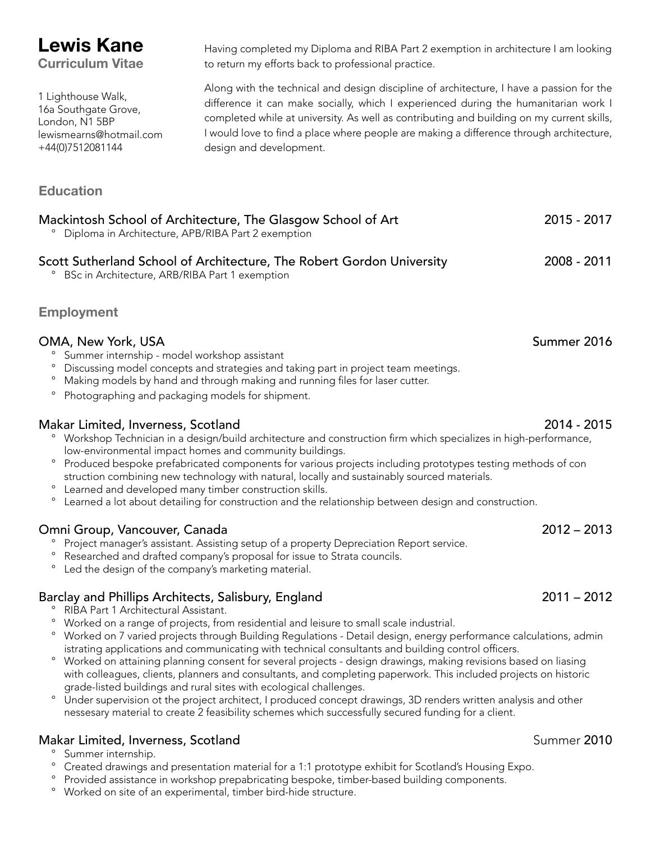# **Lewis Kane**

**Curriculum Vitae**

1 Lighthouse Walk, 16a Southgate Grove, London, N1 5BP lewismearns@hotmail.com +44(0)7512081144

# **Education**

Mackintosh School of Architecture, The Glasgow School of Art 2015 - 2017 ° Diploma in Architecture, APB/RIBA Part 2 exemption Scott Sutherland School of Architecture, The Robert Gordon University 2008 - 2011 ° BSc in Architecture, ARB/RIBA Part 1 exemption

# **Employment**

# OMA, New York, USA Summer 2016

- ° Summer internship model workshop assistant
- ° Discussing model concepts and strategies and taking part in project team meetings.
- ° Making models by hand and through making and running files for laser cutter.
- ° Photographing and packaging models for shipment.

### Makar Limited, Inverness, Scotland 2014 - 2015

- ° Workshop Technician in a design/build architecture and construction firm which specializes in high-performance, low-environmental impact homes and community buildings.
- ° Produced bespoke prefabricated components for various projects including prototypes testing methods of con struction combining new technology with natural, locally and sustainably sourced materials.
- ° Learned and developed many timber construction skills.
- Learned a lot about detailing for construction and the relationship between design and construction.

### Omni Group, Vancouver, Canada 2012 – 2013

- ° Project manager's assistant. Assisting setup of a property Depreciation Report service.
- ° Researched and drafted company's proposal for issue to Strata councils.
- ° Led the design of the company's marketing material.

# Barclay and Phillips Architects, Salisbury, England 2011 – 2012

- ° RIBA Part 1 Architectural Assistant.
- ° Worked on a range of projects, from residential and leisure to small scale industrial.
- ° Worked on 7 varied projects through Building Regulations Detail design, energy performance calculations, admin istrating applications and communicating with technical consultants and building control officers.
- ° Worked on attaining planning consent for several projects design drawings, making revisions based on liasing with colleagues, clients, planners and consultants, and completing paperwork. This included projects on historic grade-listed buildings and rural sites with ecological challenges.
- ° Under supervision ot the project architect, I produced concept drawings, 3D renders written analysis and other nessesary material to create 2 feasibility schemes which successfully secured funding for a client.

### Makar Limited, Inverness, Scotland Summer 2010

- ° Summer internship.
- ° Created drawings and presentation material for a 1:1 prototype exhibit for Scotland's Housing Expo.
- ° Provided assistance in workshop prepabricating bespoke, timber-based building components.
- ° Worked on site of an experimental, timber bird-hide structure.

Having completed my Diploma and RIBA Part 2 exemption in architecture I am looking to return my efforts back to professional practice.

Along with the technical and design discipline of architecture, I have a passion for the difference it can make socially, which I experienced during the humanitarian work I completed while at university. As well as contributing and building on my current skills, I would love to find a place where people are making a difference through architecture, design and development.